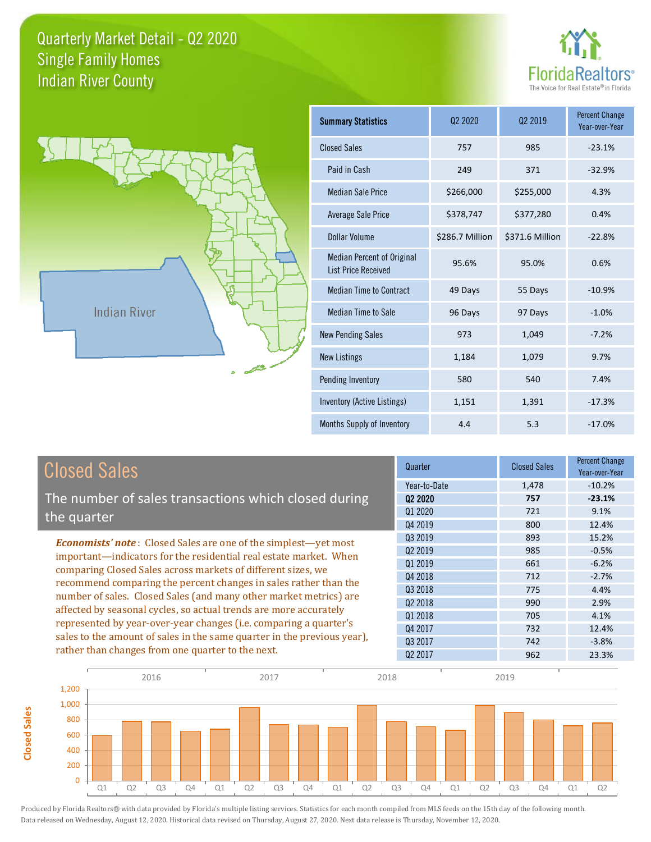



**Closed Sales**

**Closed Sales** 

| <b>Summary Statistics</b>                                       | 02 2020         | 02 2019         | <b>Percent Change</b><br>Year-over-Year |
|-----------------------------------------------------------------|-----------------|-----------------|-----------------------------------------|
| <b>Closed Sales</b>                                             | 757             | 985             | $-23.1%$                                |
| Paid in Cash                                                    | 249             | 371             | $-32.9%$                                |
| <b>Median Sale Price</b>                                        | \$266,000       | \$255,000       | 4.3%                                    |
| Average Sale Price                                              | \$378,747       | \$377,280       | 0.4%                                    |
| Dollar Volume                                                   | \$286.7 Million | \$371.6 Million | $-22.8%$                                |
| <b>Median Percent of Original</b><br><b>List Price Received</b> | 95.6%           | 95.0%           | 0.6%                                    |
| <b>Median Time to Contract</b>                                  | 49 Days         | 55 Days         | $-10.9%$                                |
| Median Time to Sale                                             | 96 Days         | 97 Days         | $-1.0%$                                 |
| <b>New Pending Sales</b>                                        | 973             | 1,049           | $-7.2%$                                 |
| <b>New Listings</b>                                             | 1,184           | 1,079           | 9.7%                                    |
| Pending Inventory                                               | 580             | 540             | 7.4%                                    |
| <b>Inventory (Active Listings)</b>                              | 1,151           | 1,391           | $-17.3%$                                |
| Months Supply of Inventory                                      | 4.4             | 5.3             | $-17.0%$                                |

| <b>Closed Sales</b>                                                                                                                                                                                   | Quarter             | <b>Closed Sales</b> | <b>Percent Change</b><br>Year-over-Year |
|-------------------------------------------------------------------------------------------------------------------------------------------------------------------------------------------------------|---------------------|---------------------|-----------------------------------------|
|                                                                                                                                                                                                       | Year-to-Date        | 1,478               | $-10.2%$                                |
| The number of sales transactions which closed during                                                                                                                                                  | Q <sub>2</sub> 2020 | 757                 | $-23.1%$                                |
|                                                                                                                                                                                                       | Q1 2020             | 721                 | 9.1%                                    |
| the quarter                                                                                                                                                                                           | 04 2019             | 800                 | 12.4%                                   |
| <b>Economists' note:</b> Closed Sales are one of the simplest—yet most                                                                                                                                | Q3 2019             | 893                 | 15.2%                                   |
| important—indicators for the residential real estate market. When<br>comparing Closed Sales across markets of different sizes, we<br>recommend comparing the percent changes in sales rather than the | Q <sub>2</sub> 2019 | 985                 | $-0.5%$                                 |
|                                                                                                                                                                                                       | 01 2019             | 661                 | $-6.2%$                                 |
|                                                                                                                                                                                                       | Q4 2018             | 712                 | $-2.7%$                                 |
|                                                                                                                                                                                                       | Q3 2018             | 775                 | 4.4%                                    |
| number of sales. Closed Sales (and many other market metrics) are                                                                                                                                     | 02 2018             | 990                 | 2.9%                                    |
| affected by seasonal cycles, so actual trends are more accurately                                                                                                                                     | Q1 2018             | 705                 | 4.1%                                    |
| represented by year-over-year changes (i.e. comparing a quarter's                                                                                                                                     | Q4 2017             | 732                 | 12.4%                                   |
| sales to the amount of sales in the same quarter in the previous year),                                                                                                                               | 03 2017             | 742                 | $-3.8%$                                 |
| rather than changes from one quarter to the next.                                                                                                                                                     | Q <sub>2</sub> 2017 | 962                 | 23.3%                                   |

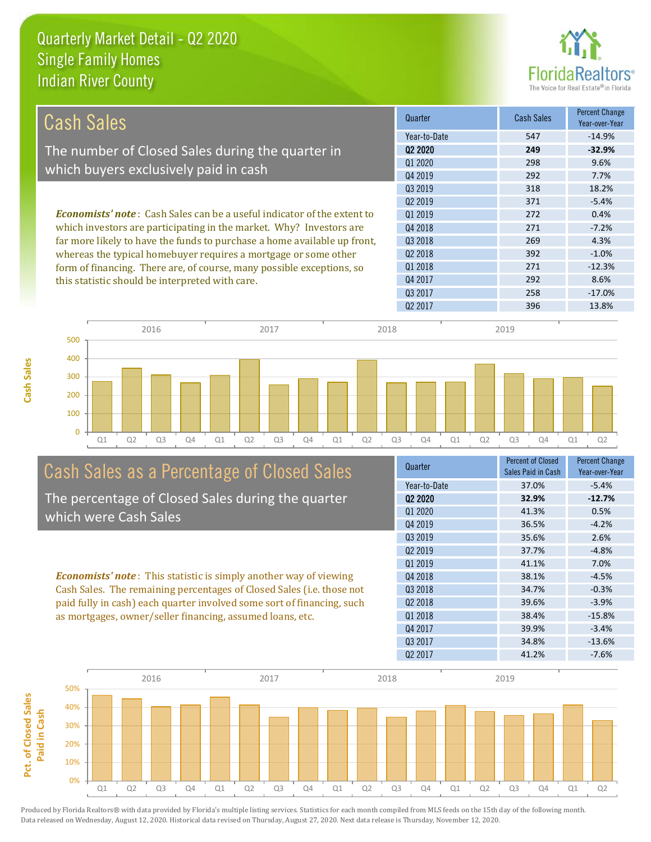

| Cash Sales                                                                     | Quarter             | <b>Cash Sales</b> | <b>Percent Change</b><br>Year-over-Year |
|--------------------------------------------------------------------------------|---------------------|-------------------|-----------------------------------------|
|                                                                                | Year-to-Date        | 547               | $-14.9%$                                |
| The number of Closed Sales during the quarter in                               | Q <sub>2</sub> 2020 | 249               | $-32.9%$                                |
|                                                                                | 01 2020             | 298               | 9.6%                                    |
| which buyers exclusively paid in cash                                          | Q4 2019             | 292               | 7.7%                                    |
|                                                                                | Q3 2019             | 318               | 18.2%                                   |
|                                                                                | 02 2019             | 371               | $-5.4%$                                 |
| <b>Economists' note:</b> Cash Sales can be a useful indicator of the extent to | 01 2019             | 272               | 0.4%                                    |
| which investors are participating in the market. Why? Investors are            | 04 2018             | 271               | $-7.2%$                                 |
| far more likely to have the funds to purchase a home available up front,       | 03 2018             | 269               | 4.3%                                    |
| whereas the typical homebuyer requires a mortgage or some other                | 02 2018             | 392               | $-1.0\%$                                |
| form of financing. There are, of course, many possible exceptions, so          | 01 2018             | 271               | $-12.3%$                                |
| this statistic should be interpreted with care.                                | 04 2017             | 292               | 8.6%                                    |
|                                                                                | 03 2017             | 258               | $-17.0%$                                |



## Cash Sales as a Percentage of Closed Sales

The percentage of Closed Sales during the quarter which were Cash Sales

*Economists' note* : This statistic is simply another way of viewing Cash Sales. The remaining percentages of Closed Sales (i.e. those not paid fully in cash) each quarter involved some sort of financing, such as mortgages, owner/seller financing, assumed loans, etc.

| Quarter                         | <b>Percent of Closed</b> | Percent Change |
|---------------------------------|--------------------------|----------------|
|                                 | Sales Paid in Cash       | Year-over-Year |
| Year-to-Date                    | 37.0%                    | $-5.4%$        |
| Q <sub>2</sub> 20 <sub>20</sub> | 32.9%                    | $-12.7%$       |
| 01 2020                         | 41.3%                    | 0.5%           |
| Q4 2019                         | 36.5%                    | $-4.2%$        |
| Q3 2019                         | 35.6%                    | 2.6%           |
| Q <sub>2</sub> 2019             | 37.7%                    | $-4.8%$        |
| 01 2019                         | 41.1%                    | 7.0%           |
| Q4 2018                         | 38.1%                    | $-4.5%$        |
| Q3 2018                         | 34.7%                    | $-0.3%$        |
| Q <sub>2</sub> 2018             | 39.6%                    | $-3.9%$        |
| 01 2018                         | 38.4%                    | $-15.8%$       |
| Q4 2017                         | 39.9%                    | $-3.4%$        |
| Q3 2017                         | 34.8%                    | $-13.6%$       |
| Q <sub>2</sub> 2017             | 41.2%                    | $-7.6%$        |
|                                 |                          |                |

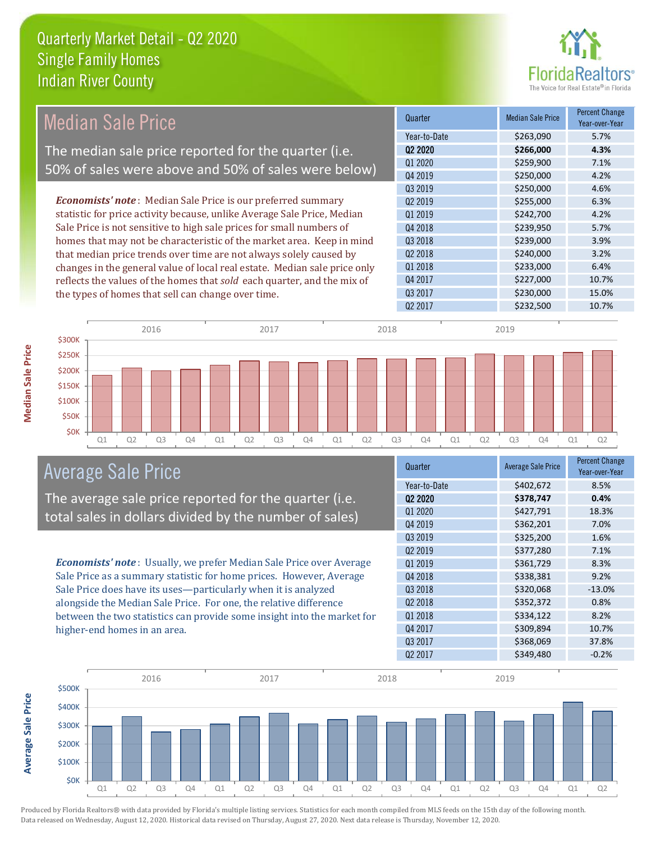

| <b>Median Sale Price</b>                                                  | Quarter             | <b>Median Sale Price</b> | Percent Change<br>Year-over-Year |
|---------------------------------------------------------------------------|---------------------|--------------------------|----------------------------------|
|                                                                           | Year-to-Date        | \$263,090                | 5.7%                             |
| The median sale price reported for the quarter (i.e.                      | Q <sub>2</sub> 2020 | \$266,000                | 4.3%                             |
|                                                                           | Q1 2020             | \$259,900                | 7.1%                             |
| 50% of sales were above and 50% of sales were below)                      | Q4 2019             | \$250,000                | 4.2%                             |
|                                                                           | Q3 2019             | \$250,000                | 4.6%                             |
| <b>Economists' note:</b> Median Sale Price is our preferred summary       | Q <sub>2</sub> 2019 | \$255,000                | 6.3%                             |
| statistic for price activity because, unlike Average Sale Price, Median   | Q1 2019             | \$242,700                | 4.2%                             |
| Sale Price is not sensitive to high sale prices for small numbers of      | Q4 2018             | \$239,950                | 5.7%                             |
| homes that may not be characteristic of the market area. Keep in mind     | Q3 2018             | \$239,000                | 3.9%                             |
| that median price trends over time are not always solely caused by        | Q <sub>2</sub> 2018 | \$240,000                | 3.2%                             |
| changes in the general value of local real estate. Median sale price only | Q1 2018             | \$233,000                | 6.4%                             |
| reflects the values of the homes that sold each quarter, and the mix of   | Q4 2017             | \$227,000                | 10.7%                            |
| the types of homes that sell can change over time.                        | Q3 2017             | \$230,000                | 15.0%                            |
|                                                                           | Q2 2017             | \$232,500                | 10.7%                            |
| $2017$<br>2010<br>201C                                                    |                     | 2010                     |                                  |



### Average Sale Price

The average sale price reported for the quarter (i.e. total sales in dollars divided by the number of sales)

*Economists' note* : Usually, we prefer Median Sale Price over Average Sale Price as a summary statistic for home prices. However, Average Sale Price does have its uses—particularly when it is analyzed alongside the Median Sale Price. For one, the relative difference between the two statistics can provide some insight into the market for higher-end homes in an area.

| Quarter             | <b>Average Sale Price</b> | <b>Percent Change</b><br>Year-over-Year |
|---------------------|---------------------------|-----------------------------------------|
| Year-to-Date        | \$402,672                 | 8.5%                                    |
| Q2 2020             | \$378,747                 | 0.4%                                    |
| Q1 2020             | \$427,791                 | 18.3%                                   |
| Q4 2019             | \$362,201                 | 7.0%                                    |
| Q3 2019             | \$325,200                 | 1.6%                                    |
| 02 2019             | \$377,280                 | 7.1%                                    |
| Q1 2019             | \$361,729                 | 8.3%                                    |
| Q4 2018             | \$338,381                 | 9.2%                                    |
| Q3 2018             | \$320,068                 | $-13.0%$                                |
| Q <sub>2</sub> 2018 | \$352,372                 | 0.8%                                    |
| Q1 2018             | \$334,122                 | 8.2%                                    |
| Q4 2017             | \$309,894                 | 10.7%                                   |
| Q3 2017             | \$368,069                 | 37.8%                                   |
| Q <sub>2</sub> 2017 | \$349,480                 | $-0.2%$                                 |
|                     |                           |                                         |



Produced by Florida Realtors® with data provided by Florida's multiple listing services. Statistics for each month compiled from MLS feeds on the 15th day of the following month. Data released on Wednesday, August 12, 2020. Historical data revised on Thursday, August 27, 2020. Next data release is Thursday, November 12, 2020.

**Average Sale Price**

**Average Sale Price**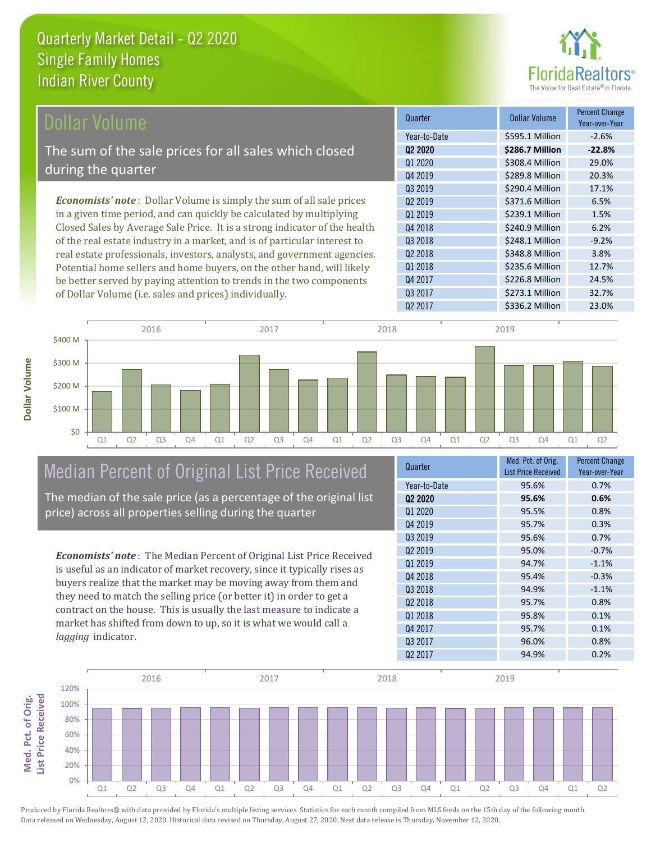

| Dollar Volume                                                                | Quarter      | <b>Dollar Volume</b> | <b>Percent Change</b><br>Year-over-Year |
|------------------------------------------------------------------------------|--------------|----------------------|-----------------------------------------|
|                                                                              | Year-to-Date | \$595.1 Million      | $-2.6%$                                 |
| The sum of the sale prices for all sales which closed                        | 02 2020      | \$286.7 Million      | $-22.8%$                                |
|                                                                              | Q1 2020      | \$308.4 Million      | 29.0%                                   |
| during the quarter                                                           | Q4 2019      | \$289.8 Million      | 20.3%                                   |
|                                                                              | Q3 2019      | \$290.4 Million      | 17.1%                                   |
| <b>Economists' note</b> : Dollar Volume is simply the sum of all sale prices | 02 2019      | \$371.6 Million      | 6.5%                                    |
| in a given time period, and can quickly be calculated by multiplying         | 01 2019      | \$239.1 Million      | 1.5%                                    |
| Closed Sales by Average Sale Price. It is a strong indicator of the health   | Q4 2018      | \$240.9 Million      | 6.2%                                    |
| of the real estate industry in a market, and is of particular interest to    | Q3 2018      | \$248.1 Million      | $-9.2%$                                 |
| real estate professionals, investors, analysts, and government agencies.     | 02 2018      | \$348.8 Million      | 3.8%                                    |
| Potential home sellers and home buyers, on the other hand, will likely       | 01 2018      | \$235.6 Million      | 12.7%                                   |
| be better served by paying attention to trends in the two components         | Q4 2017      | \$226.8 Million      | 24.5%                                   |



### Median Percent of Original List Price Received

of Dollar Volume (i.e. sales and prices) individually.

The median of the sale price (as a percentage of the original list price) across all properties selling during the quarter

*Economists' note* : The Median Percent of Original List Price Received is useful as an indicator of market recovery, since it typically rises as buyers realize that the market may be moving away from them and they need to match the selling price (or better it) in order to get a contract on the house. This is usually the last measure to indicate a market has shifted from down to up, so it is what we would call a *lagging* indicator.

| Quarter             | Med. Pct. of Orig.         | <b>Percent Change</b> |
|---------------------|----------------------------|-----------------------|
|                     | <b>List Price Received</b> | Year-over-Year        |
| Year-to-Date        | 95.6%                      | 0.7%                  |
| Q <sub>2</sub> 2020 | 95.6%                      | 0.6%                  |
| 01 2020             | 95.5%                      | 0.8%                  |
| Q4 2019             | 95.7%                      | 0.3%                  |
| 03 2019             | 95.6%                      | 0.7%                  |
| Q <sub>2</sub> 2019 | 95.0%                      | $-0.7%$               |
| 01 2019             | 94.7%                      | $-1.1%$               |
| Q4 2018             | 95.4%                      | $-0.3%$               |
| 03 2018             | 94.9%                      | $-1.1%$               |
| Q <sub>2</sub> 2018 | 95.7%                      | 0.8%                  |
| 01 2018             | 95.8%                      | 0.1%                  |
| Q4 2017             | 95.7%                      | 0.1%                  |
| Q3 2017             | 96.0%                      | 0.8%                  |
| Q <sub>2</sub> 2017 | 94.9%                      | 0.2%                  |
|                     |                            |                       |

Q3 2017 **\$273.1 Million** 32.7%

Q2 2017 **\$336.2 Million** 23.0%



**Med. Pct. of Orig.** 

Med. Pct. of Orig.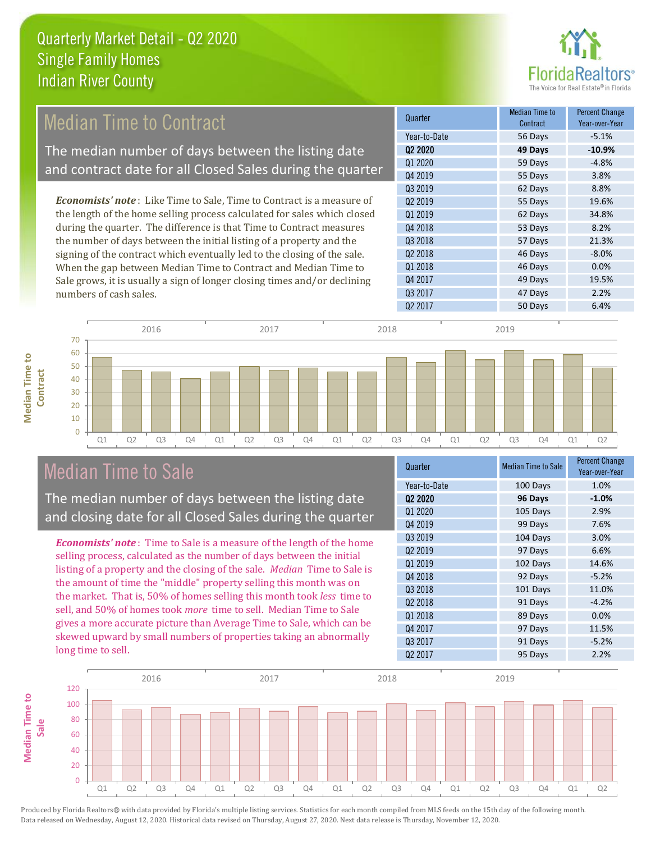

# Median Time to Contract The median number of days between the listing date and contract date for all Closed Sales during the quarter

*Economists' note* : Like Time to Sale, Time to Contract is a measure of the length of the home selling process calculated for sales which closed during the quarter. The difference is that Time to Contract measures the number of days between the initial listing of a property and the signing of the contract which eventually led to the closing of the sale. When the gap between Median Time to Contract and Median Time to Sale grows, it is usually a sign of longer closing times and/or declining numbers of cash sales.





### Median Time to Sale

**Median Time to** 

**Median Time to** 

The median number of days between the listing date and closing date for all Closed Sales during the quarter

*Economists' note* : Time to Sale is a measure of the length of the home selling process, calculated as the number of days between the initial listing of a property and the closing of the sale. *Median* Time to Sale is the amount of time the "middle" property selling this month was on the market. That is, 50% of homes selling this month took *less* time to sell, and 50% of homes took *more* time to sell. Median Time to Sale gives a more accurate picture than Average Time to Sale, which can be skewed upward by small numbers of properties taking an abnormally long time to sell.

| Quarter             | <b>Median Time to Sale</b> | Percent Change<br>Year-over-Year |
|---------------------|----------------------------|----------------------------------|
| Year-to-Date        | 100 Days                   | 1.0%                             |
| Q <sub>2</sub> 2020 | 96 Days                    | $-1.0%$                          |
| 01 2020             | 105 Days                   | 2.9%                             |
| Q4 2019             | 99 Days                    | 7.6%                             |
| Q3 2019             | 104 Days                   | 3.0%                             |
| 02 2019             | 97 Days                    | 6.6%                             |
| Q1 2019             | 102 Days                   | 14.6%                            |
| Q4 2018             | 92 Days                    | $-5.2%$                          |
| Q3 2018             | 101 Days                   | 11.0%                            |
| Q <sub>2</sub> 2018 | 91 Days                    | $-4.2%$                          |
| Q1 2018             | 89 Days                    | 0.0%                             |
| Q4 2017             | 97 Days                    | 11.5%                            |
| Q3 2017             | 91 Days                    | $-5.2%$                          |
| Q <sub>2</sub> 2017 | 95 Days                    | 2.2%                             |
|                     |                            |                                  |

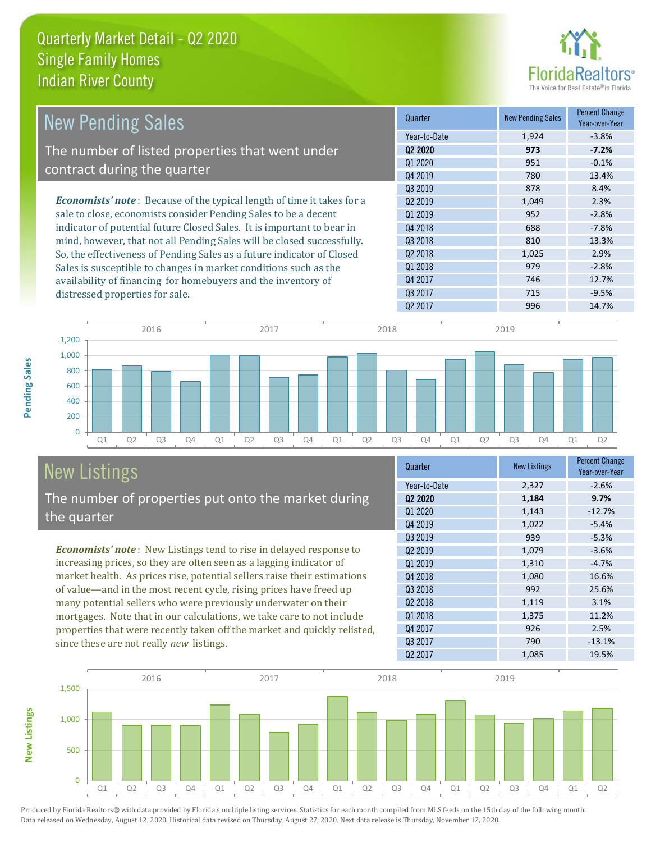

| <b>New Pending Sales</b>                                                       | Quarter             | <b>New Pending Sales</b> | <b>Percent Change</b><br>Year-over-Year |
|--------------------------------------------------------------------------------|---------------------|--------------------------|-----------------------------------------|
|                                                                                | Year-to-Date        | 1,924                    | $-3.8%$                                 |
| The number of listed properties that went under                                | 02 2020             | 973                      | $-7.2%$                                 |
|                                                                                | Q1 2020             | 951                      | $-0.1%$                                 |
| contract during the quarter                                                    | Q4 2019             | 780                      | 13.4%                                   |
|                                                                                | Q3 2019             | 878                      | 8.4%                                    |
| <b>Economists' note</b> : Because of the typical length of time it takes for a | Q <sub>2</sub> 2019 | 1,049                    | 2.3%                                    |
| sale to close, economists consider Pending Sales to be a decent                | 01 2019             | 952                      | $-2.8%$                                 |
| indicator of potential future Closed Sales. It is important to bear in         | Q4 2018             | 688                      | $-7.8%$                                 |
| mind, however, that not all Pending Sales will be closed successfully.         | Q3 2018             | 810                      | 13.3%                                   |
| So, the effectiveness of Pending Sales as a future indicator of Closed         | Q <sub>2</sub> 2018 | 1,025                    | 2.9%                                    |
| Sales is susceptible to changes in market conditions such as the               | 01 2018             | 979                      | $-2.8%$                                 |
| availability of financing for homebuyers and the inventory of                  | Q4 2017             | 746                      | 12.7%                                   |
| distressed properties for sale.                                                | Q3 2017             | 715                      | $-9.5%$                                 |



# New Listings

**New Listings**

**Pending Sales**

**Pending Sales** 

The number of properties put onto the market during the quarter

*Economists' note* : New Listings tend to rise in delayed response to increasing prices, so they are often seen as a lagging indicator of market health. As prices rise, potential sellers raise their estimations of value—and in the most recent cycle, rising prices have freed up many potential sellers who were previously underwater on their mortgages. Note that in our calculations, we take care to not include properties that were recently taken off the market and quickly relisted, since these are not really *new* listings.

| Quarter             | <b>New Listings</b> | <b>Percent Change</b><br>Year-over-Year |
|---------------------|---------------------|-----------------------------------------|
| Year-to-Date        | 2,327               | $-2.6%$                                 |
| 02 2020             | 1,184               | 9.7%                                    |
| Q1 2020             | 1,143               | $-12.7%$                                |
| Q4 2019             | 1,022               | $-5.4%$                                 |
| 03 2019             | 939                 | $-5.3%$                                 |
| Q <sub>2</sub> 2019 | 1,079               | $-3.6%$                                 |
| 01 2019             | 1,310               | $-4.7%$                                 |
| Q4 2018             | 1,080               | 16.6%                                   |
| Q3 2018             | 992                 | 25.6%                                   |
| Q2 2018             | 1,119               | 3.1%                                    |
| Q1 2018             | 1,375               | 11.2%                                   |
| Q4 2017             | 926                 | 2.5%                                    |
| Q3 2017             | 790                 | $-13.1%$                                |
| Q <sub>2</sub> 2017 | 1,085               | 19.5%                                   |

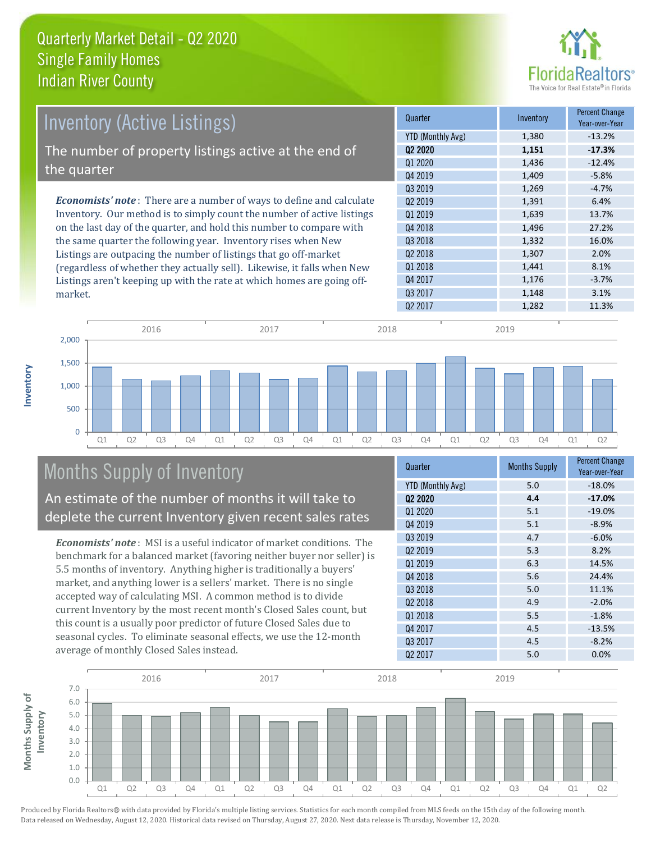

| <b>Inventory (Active Listings)</b>                                           | Quarter             | Inventory | <b>Percent Change</b><br>Year-over-Year |
|------------------------------------------------------------------------------|---------------------|-----------|-----------------------------------------|
|                                                                              | YTD (Monthly Avg)   | 1,380     | $-13.2%$                                |
| The number of property listings active at the end of                         | Q <sub>2</sub> 2020 | 1,151     | $-17.3%$                                |
|                                                                              | Q1 2020             | 1,436     | $-12.4%$                                |
| the quarter                                                                  | 04 2019             | 1,409     | $-5.8%$                                 |
|                                                                              | 03 2019             | 1,269     | $-4.7%$                                 |
| <b>Economists' note</b> : There are a number of ways to define and calculate | 02 2019             | 1,391     | 6.4%                                    |
| Inventory. Our method is to simply count the number of active listings       | 01 2019             | 1,639     | 13.7%                                   |
| on the last day of the quarter, and hold this number to compare with         | Q4 2018             | 1,496     | 27.2%                                   |
| the same quarter the following year. Inventory rises when New                | Q3 2018             | 1,332     | 16.0%                                   |
| Listings are outpacing the number of listings that go off-market             | Q <sub>2</sub> 2018 | 1,307     | 2.0%                                    |
| (regardless of whether they actually sell). Likewise, it falls when New      | 01 2018             | 1,441     | 8.1%                                    |
| Listings aren't keeping up with the rate at which homes are going off-       | Q4 2017             | 1.176     | $-3.7\%$                                |



## Months Supply of Inventory

An estimate of the number of months it will take to deplete the current Inventory given recent sales rates

*Economists' note* : MSI is a useful indicator of market conditions. The benchmark for a balanced market (favoring neither buyer nor seller) is 5.5 months of inventory. Anything higher is traditionally a buyers' market, and anything lower is a sellers' market. There is no single accepted way of calculating MSI. A common method is to divide current Inventory by the most recent month's Closed Sales count, but this count is a usually poor predictor of future Closed Sales due to seasonal cycles. To eliminate seasonal effects, we use the 12-month average of monthly Closed Sales instead.

| Quarter                  | <b>Months Supply</b> | <b>Percent Change</b><br>Year-over-Year |
|--------------------------|----------------------|-----------------------------------------|
| <b>YTD (Monthly Avg)</b> | 5.0                  | $-18.0%$                                |
| Q <sub>2</sub> 2020      | 4.4                  | $-17.0%$                                |
| Q1 2020                  | 5.1                  | $-19.0%$                                |
| Q4 2019                  | 5.1                  | $-8.9%$                                 |
| 03 2019                  | 4.7                  | $-6.0%$                                 |
| 02 2019                  | 5.3                  | 8.2%                                    |
| 01 2019                  | 6.3                  | 14.5%                                   |
| Q4 2018                  | 5.6                  | 24.4%                                   |
| Q3 2018                  | 5.0                  | 11.1%                                   |
| Q <sub>2</sub> 2018      | 4.9                  | $-2.0%$                                 |
| Q1 2018                  | 5.5                  | $-1.8%$                                 |
| Q4 2017                  | 4.5                  | $-13.5%$                                |
| Q3 2017                  | 4.5                  | $-8.2%$                                 |
| Q2 2017                  | 5.0                  | 0.0%                                    |



Produced by Florida Realtors® with data provided by Florida's multiple listing services. Statistics for each month compiled from MLS feeds on the 15th day of the following month. Data released on Wednesday, August 12, 2020. Historical data revised on Thursday, August 27, 2020. Next data release is Thursday, November 12, 2020.

market.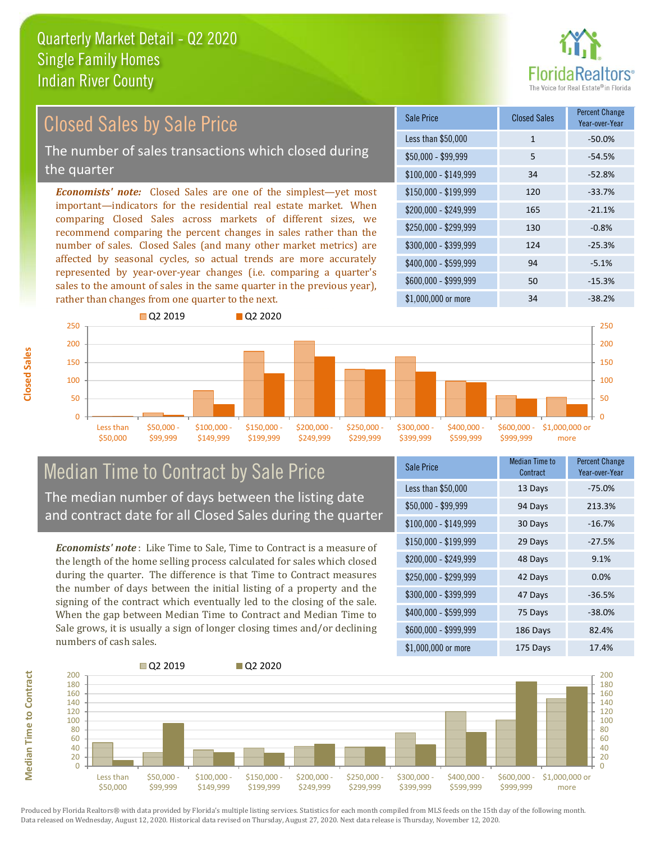

## Closed Sales by Sale Price

The number of sales transactions which closed during the quarter

*Economists' note:* Closed Sales are one of the simplest—yet most important—indicators for the residential real estate market. When comparing Closed Sales across markets of different sizes, we recommend comparing the percent changes in sales rather than the number of sales. Closed Sales (and many other market metrics) are affected by seasonal cycles, so actual trends are more accurately represented by year-over-year changes (i.e. comparing a quarter's sales to the amount of sales in the same quarter in the previous year), rather than changes from one quarter to the next.

| <b>Sale Price</b>     | <b>Closed Sales</b> | <b>Percent Change</b><br>Year-over-Year |
|-----------------------|---------------------|-----------------------------------------|
| Less than \$50,000    | $\mathbf{1}$        | $-50.0%$                                |
| \$50,000 - \$99,999   | 5                   | $-54.5%$                                |
| $$100,000 - $149,999$ | 34                  | $-52.8%$                                |
| $$150,000 - $199,999$ | 120                 | $-33.7%$                                |
| \$200,000 - \$249,999 | 165                 | $-21.1%$                                |
| \$250,000 - \$299,999 | 130                 | $-0.8%$                                 |
| \$300,000 - \$399,999 | 124                 | $-25.3%$                                |
| \$400,000 - \$599,999 | 94                  | $-5.1%$                                 |
| \$600,000 - \$999,999 | 50                  | $-15.3%$                                |
| \$1,000,000 or more   | 34                  | $-38.2%$                                |



# Median Time to Contract by Sale Price The median number of days between the listing date

and contract date for all Closed Sales during the quarter

*Economists' note* : Like Time to Sale, Time to Contract is a measure of the length of the home selling process calculated for sales which closed during the quarter. The difference is that Time to Contract measures the number of days between the initial listing of a property and the signing of the contract which eventually led to the closing of the sale. When the gap between Median Time to Contract and Median Time to Sale grows, it is usually a sign of longer closing times and/or declining numbers of cash sales.

| Sale Price            | Median Time to<br>Contract | <b>Percent Change</b><br>Year-over-Year |
|-----------------------|----------------------------|-----------------------------------------|
| Less than \$50,000    | 13 Days                    | $-75.0%$                                |
| $$50,000 - $99,999$   | 94 Days                    | 213.3%                                  |
| $$100,000 - $149,999$ | 30 Days                    | $-16.7%$                                |
| $$150,000 - $199,999$ | 29 Days                    | $-27.5%$                                |
| \$200,000 - \$249,999 | 48 Days                    | 9.1%                                    |
| \$250,000 - \$299,999 | 42 Days                    | 0.0%                                    |
| \$300,000 - \$399,999 | 47 Days                    | $-36.5%$                                |
| \$400,000 - \$599,999 | 75 Days                    | $-38.0%$                                |
| \$600,000 - \$999,999 | 186 Days                   | 82.4%                                   |
| \$1,000,000 or more   | 175 Days                   | 17.4%                                   |

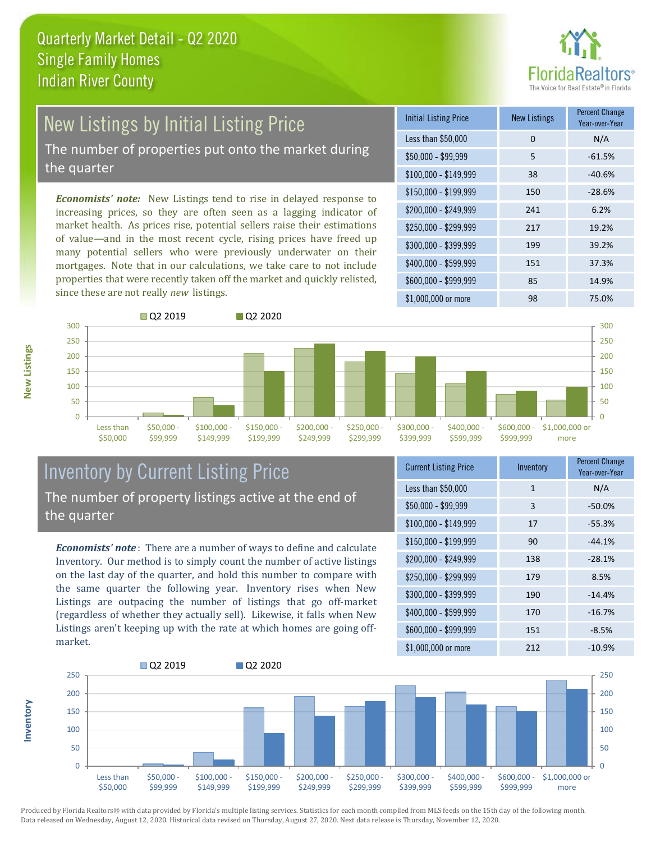

## New Listings by Initial Listing Price

The number of properties put onto the market during the quarter

*Economists' note:* New Listings tend to rise in delayed response to increasing prices, so they are often seen as a lagging indicator of market health. As prices rise, potential sellers raise their estimations of value—and in the most recent cycle, rising prices have freed up many potential sellers who were previously underwater on their mortgages. Note that in our calculations, we take care to not include properties that were recently taken off the market and quickly relisted, since these are not really *new* listings.

| <b>Initial Listing Price</b> | New Listings | <b>Percent Change</b><br>Year-over-Year |
|------------------------------|--------------|-----------------------------------------|
| Less than \$50,000           | 0            | N/A                                     |
| $$50,000 - $99,999$          | 5            | $-61.5%$                                |
| $$100,000 - $149,999$        | 38           | $-40.6%$                                |
| $$150,000 - $199,999$        | 150          | $-28.6%$                                |
| \$200,000 - \$249,999        | 241          | 6.2%                                    |
| \$250,000 - \$299,999        | 217          | 19.2%                                   |
| \$300,000 - \$399,999        | 199          | 39.2%                                   |
| \$400,000 - \$599,999        | 151          | 37.3%                                   |
| \$600,000 - \$999,999        | 85           | 14.9%                                   |
| \$1,000,000 or more          | 98           | 75.0%                                   |



### Inventory by Current Listing Price The number of property listings active at the end of the quarter

*Economists' note* : There are a number of ways to define and calculate Inventory. Our method is to simply count the number of active listings on the last day of the quarter, and hold this number to compare with the same quarter the following year. Inventory rises when New Listings are outpacing the number of listings that go off-market (regardless of whether they actually sell). Likewise, it falls when New Listings aren't keeping up with the rate at which homes are going offmarket.

| <b>Current Listing Price</b> | Inventory    | <b>Percent Change</b><br>Year-over-Year |
|------------------------------|--------------|-----------------------------------------|
| Less than \$50,000           | $\mathbf{1}$ | N/A                                     |
| $$50,000 - $99,999$          | 3            | $-50.0%$                                |
| $$100,000 - $149,999$        | 17           | $-55.3%$                                |
| $$150,000 - $199,999$        | 90           | $-44.1%$                                |
| \$200,000 - \$249,999        | 138          | $-28.1%$                                |
| \$250,000 - \$299,999        | 179          | 8.5%                                    |
| \$300,000 - \$399,999        | 190          | $-14.4%$                                |
| \$400,000 - \$599,999        | 170          | $-16.7%$                                |
| \$600,000 - \$999,999        | 151          | $-8.5%$                                 |
| \$1,000,000 or more          | 212          | $-10.9%$                                |



Produced by Florida Realtors® with data provided by Florida's multiple listing services. Statistics for each month compiled from MLS feeds on the 15th day of the following month. Data released on Wednesday, August 12, 2020. Historical data revised on Thursday, August 27, 2020. Next data release is Thursday, November 12, 2020.

**Inventory**